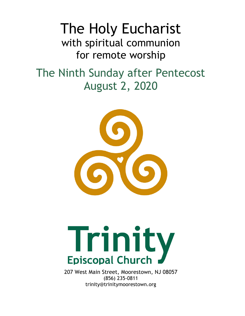# The Holy Eucharist with spiritual communion for remote worship

## The Ninth Sunday after Pentecost August 2, 2020



# Trinity **Episcopal Church**

207 West Main Street, Moorestown, NJ 08057 (856) 235-0811 trinity@trinitymoorestown.org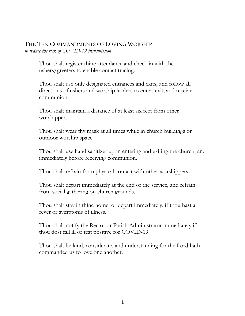## THE TEN COMMANDMENTS OF LOVING WORSHIP *to reduce the risk of COVID-19 transmission*

Thou shalt register thine attendance and check in with the ushers/greeters to enable contact tracing.

Thou shalt use only designated entrances and exits, and follow all directions of ushers and worship leaders to enter, exit, and receive communion.

Thou shalt maintain a distance of at least six feet from other worshippers.

Thou shalt wear thy mask at all times while in church buildings or outdoor worship space.

Thou shalt use hand sanitizer upon entering and exiting the church, and immediately before receiving communion.

Thou shalt refrain from physical contact with other worshippers.

Thou shalt depart immediately at the end of the service, and refrain from social gathering on church grounds.

Thou shalt stay in thine home, or depart immediately, if thou hast a fever or symptoms of illness.

Thou shalt notify the Rector or Parish Administrator immediately if thou dost fall ill or test positive for COVID-19.

Thou shalt be kind, considerate, and understanding for the Lord hath commanded us to love one another.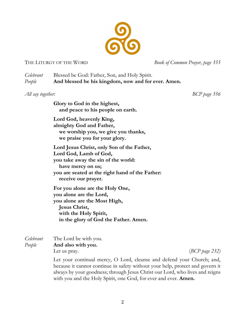

THE LITURGY OF THE WORD *Book of Common Prayer, page 355*

| Celebrant | Blessed be God: Father, Son, and Holy Spirit.       |
|-----------|-----------------------------------------------------|
| People    | And blessed be his kingdom, now and for ever. Amen. |

*All say together: BCP page 356*

**Glory to God in the highest, and peace to his people on earth.**

**Lord God, heavenly King, almighty God and Father, we worship you, we give you thanks, we praise you for your glory.**

**Lord Jesus Christ, only Son of the Father, Lord God, Lamb of God, you take away the sin of the world: have mercy on us; you are seated at the right hand of the Father: receive our prayer.**

**For you alone are the Holy One, you alone are the Lord, you alone are the Most High, Jesus Christ, with the Holy Spirit, in the glory of God the Father. Amen.**

*Celebrant* The Lord be with you. *People* **And also with you.** Let us pray. (*BCP page 232)*

Let your continual mercy, O Lord, cleanse and defend your Church; and, because it cannot continue in safety without your help, protect and govern it always by your goodness; through Jesus Christ our Lord, who lives and reigns with you and the Holy Spirit, one God, for ever and ever. **Amen.**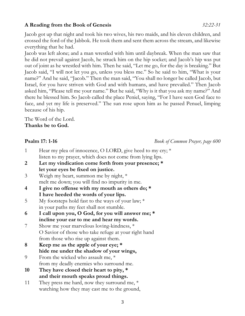## **A Reading from the Book of Genesis** *32:22-31*

Jacob got up that night and took his two wives, his two maids, and his eleven children, and crossed the ford of the Jabbok. He took them and sent them across the stream, and likewise everything that he had.

Jacob was left alone; and a man wrestled with him until daybreak. When the man saw that he did not prevail against Jacob, he struck him on the hip socket; and Jacob's hip was put out of joint as he wrestled with him. Then he said, "Let me go, for the day is breaking." But Jacob said, "I will not let you go, unless you bless me." So he said to him, "What is your name?" And he said, "Jacob." Then the man said, "You shall no longer be called Jacob, but Israel, for you have striven with God and with humans, and have prevailed." Then Jacob asked him, "Please tell me your name." But he said, "Why is it that you ask my name?" And there he blessed him. So Jacob called the place Peniel, saying, "For I have seen God face to face, and yet my life is preserved." The sun rose upon him as he passed Penuel, limping because of his hip.

The Word of the Lord. **Thanks be to God.**

**Psalm 17: 1-16** *Book of Common Prayer, page 600*

- 1 Hear my plea of innocence, O LORD, give heed to my cry;  $*$ listen to my prayer, which does not come from lying lips.
- **2 Let my vindication come forth from your presence; \* let your eyes be fixed on justice.**
- 3 Weigh my heart, summon me by night, \* melt me down; you will find no impurity in me.
- **4 I give no offense with my mouth as others do; \* I have heeded the words of your lips.**
- 5 My footsteps hold fast to the ways of your law; \* in your paths my feet shall not stumble.
- **6 I call upon you, O God, for you will answer me; \* incline your ear to me and hear my words.**
- 7 Show me your marvelous loving-kindness, \* O Savior of those who take refuge at your right hand from those who rise up against them.
- **8 Keep me as the apple of your eye; \* hide me under the shadow of your wings,**
- 9 From the wicked who assault me, \* from my deadly enemies who surround me.
- **10 They have closed their heart to pity, \* and their mouth speaks proud things.**
- 11 They press me hard, now they surround me, \* watching how they may cast me to the ground,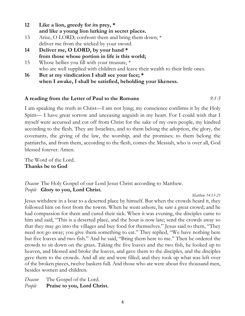| 12 | Like a lion, greedy for its prey, $*$                 |
|----|-------------------------------------------------------|
|    | and like a young lion lurking in secret places.       |
| 13 | Arise, O LORD; confront them and bring them down; $*$ |

- deliver me from the wicked by your sword. **14 Deliver me, O LORD, by your hand \***
- **from those whose portion in life is this world;** 15 Whose bellies you fill with your treasure, \* who are well supplied with children and leave their wealth to their little ones.
- **16 But at my vindication I shall see your face; \* when I awake, I shall be satisfied, beholding your likeness.**

## **A reading from the Letter of Paul to the Romans** *9:1-5*

I am speaking the truth in Christ—I am not lying; my conscience confirms it by the Holy Spirit— I have great sorrow and unceasing anguish in my heart. For I could wish that I myself were accursed and cut off from Christ for the sake of my own people, my kindred according to the flesh. They are Israelites, and to them belong the adoption, the glory, the covenants, the giving of the law, the worship, and the promises; to them belong the patriarchs, and from them, according to the flesh, comes the Messiah, who is over all, God blessed forever. Amen.

The Word of the Lord. **Thanks be to God**

*Deacon* The Holy Gospel of our Lord Jesus Christ according to Matthew. *People* **Glory to you, Lord Christ.**

*Matthew 14:13-21*

Jesus withdrew in a boat to a deserted place by himself. But when the crowds heard it, they followed him on foot from the towns. When he went ashore, he saw a great crowd; and he had compassion for them and cured their sick. When it was evening, the disciples came to him and said, "This is a deserted place, and the hour is now late; send the crowds away so that they may go into the villages and buy food for themselves." Jesus said to them, "They need not go away; you give them something to eat." They replied, "We have nothing here but five loaves and two fish." And he said, "Bring them here to me." Then he ordered the crowds to sit down on the grass. Taking the five loaves and the two fish, he looked up to heaven, and blessed and broke the loaves, and gave them to the disciples, and the disciples gave them to the crowds. And all ate and were filled; and they took up what was left over of the broken pieces, twelve baskets full. And those who ate were about five thousand men, besides women and children.

*Deacon* The Gospel of the Lord. *People* **Praise to you, Lord Christ.**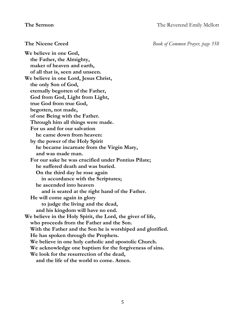**The Nicene Creed** *Book of Common Prayer, page 358* **We believe in one God, the Father, the Almighty, maker of heaven and earth, of all that is, seen and unseen. We believe in one Lord, Jesus Christ, the only Son of God, eternally begotten of the Father, God from God, Light from Light, true God from true God, begotten, not made, of one Being with the Father. Through him all things were made. For us and for our salvation he came down from heaven: by the power of the Holy Spirit he became incarnate from the Virgin Mary, and was made man. For our sake he was crucified under Pontius Pilate;**

 **he suffered death and was buried.**

 **On the third day he rose again**

 **in accordance with the Scriptures;**

 **he ascended into heaven**

 **and is seated at the right hand of the Father.**

 **He will come again in glory** 

 **to judge the living and the dead,**

 **and his kingdom will have no end.**

**We believe in the Holy Spirit, the Lord, the giver of life,**

 **who proceeds from the Father and the Son.**

 **With the Father and the Son he is worshiped and glorified.**

 **He has spoken through the Prophets.**

 **We believe in one holy catholic and apostolic Church.**

 **We acknowledge one baptism for the forgiveness of sins.**

 **We look for the resurrection of the dead,**

 **and the life of the world to come. Amen.**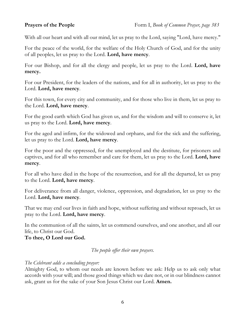With all our heart and with all our mind, let us pray to the Lord, saying "Lord, have mercy."

For the peace of the world, for the welfare of the Holy Church of God, and for the unity of all peoples, let us pray to the Lord. **Lord, have mercy**.

For our Bishop, and for all the clergy and people, let us pray to the Lord. **Lord, have mercy.**

For our President, for the leaders of the nations, and for all in authority, let us pray to the Lord. **Lord, have mercy**.

For this town, for every city and community, and for those who live in them, let us pray to the Lord. **Lord, have mercy**.

For the good earth which God has given us, and for the wisdom and will to conserve it, let us pray to the Lord. **Lord, have mercy**.

For the aged and infirm, for the widowed and orphans, and for the sick and the suffering, let us pray to the Lord. **Lord, have mercy**.

For the poor and the oppressed, for the unemployed and the destitute, for prisoners and captives, and for all who remember and care for them, let us pray to the Lord. **Lord, have mercy**.

For all who have died in the hope of the resurrection, and for all the departed, let us pray to the Lord. **Lord, have mercy**.

For deliverance from all danger, violence, oppression, and degradation, let us pray to the Lord. **Lord, have mercy**.

That we may end our lives in faith and hope, without suffering and without reproach, let us pray to the Lord. **Lord, have mercy**.

In the communion of all the saints, let us commend ourselves, and one another, and all our life, to Christ our God.

## **To thee, O Lord our God.**

*The people offer their own prayers.*

## *The Celebrant adds a concluding prayer:*

Almighty God, to whom our needs are known before we ask: Help us to ask only what accords with your will; and those good things which we dare not, or in our blindness cannot ask, grant us for the sake of your Son Jesus Christ our Lord. **Amen.**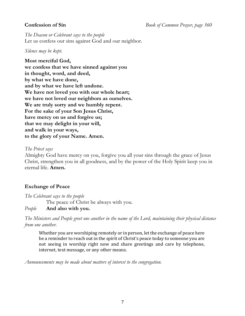*The Deacon or Celebrant says to the people* Let us confess our sins against God and our neighbor.

#### *Silence may be kept.*

**Most merciful God, we confess that we have sinned against you in thought, word, and deed, by what we have done, and by what we have left undone. We have not loved you with our whole heart; we have not loved our neighbors as ourselves. We are truly sorry and we humbly repent. For the sake of your Son Jesus Christ, have mercy on us and forgive us; that we may delight in your will, and walk in your ways, to the glory of your Name. Amen.**

#### *The Priest says*

Almighty God have mercy on you, forgive you all your sins through the grace of Jesus Christ, strengthen you in all goodness, and by the power of the Holy Spirit keep you in eternal life. **Amen.**

## **Exchange of Peace**

*The Celebrant says to the people* The peace of Christ be always with you. *People* **And also with you.**

*The Ministers and People greet one another in the name of the Lord, maintaining their physical distance from one another.*

Whether you are worshiping remotely or in person, let the exchange of peace here be a reminder to reach out in the spirit of Christ's peace today to someone you are not seeing in worship right now and share greetings and care by telephone, internet, text message, or any other means.

*Announcements may be made about matters of interest to the congregation.*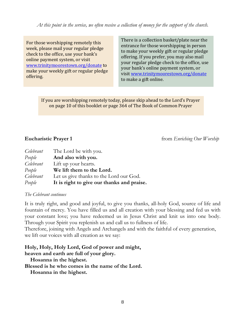*At this point in the service, we often receive a collection of money for the support of the church.*

For those worshipping remotely this week, please mail your regular pledge check to the office, use your bank's online payment system, or visit www.trinitymoorestown.org/donate to make your weekly gift or regular pledge offering.

There is a collection basket/plate near the entrance for those worshipping in person to make your weekly gift or regular pledge offering. If you prefer, you may also mail your regular pledge check to the office, use your bank's online payment system, or visit www.trinitymoorestown.org/donate to make a gift online.

If you are worshipping remotely today, please skip ahead to the Lord's Prayer on page 10 of this booklet or page 364 of The Book of Common Prayer

**Eucharistic Prayer 1** from *Enriching Our Worship* 

| Celebrant | The Lord be with you.                      |
|-----------|--------------------------------------------|
| People    | And also with you.                         |
| Celebrant | Lift up your hearts.                       |
| People    | We lift them to the Lord.                  |
| Celebrant | Let us give thanks to the Lord our God.    |
| People    | It is right to give our thanks and praise. |

#### *The Celebrant continues*

It is truly right, and good and joyful, to give you thanks, all-holy God, source of life and fountain of mercy. You have filled us and all creation with your blessing and fed us with your constant love; you have redeemed us in Jesus Christ and knit us into one body. Through your Spirit you replenish us and call us to fullness of life.

Therefore, joining with Angels and Archangels and with the faithful of every generation, we lift our voices with all creation as we say:

#### **Holy, Holy, Holy Lord, God of power and might,**

**heaven and earth are full of your glory.**

 **Hosanna in the highest.**

**Blessed is he who comes in the name of the Lord.**

 **Hosanna in the highest.**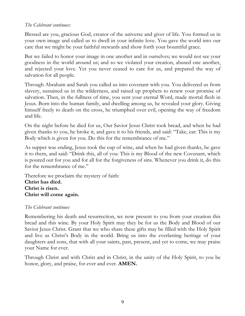## *The Celebrant continues:*

Blessed are you, gracious God, creator of the universe and giver of life. You formed us in your own image and called us to dwell in your infinite love. You gave the world into our care that we might be your faithful stewards and show forth your bountiful grace.

But we failed to honor your image in one another and in ourselves; we would not see your goodness in the world around us; and so we violated your creation, abused one another, and rejected your love. Yet you never ceased to care for us, and prepared the way of salvation for all people.

Through Abraham and Sarah you called us into covenant with you. You delivered us from slavery, sustained us in the wilderness, and raised up prophets to renew your promise of salvation. Then, in the fullness of time, you sent your eternal Word, made mortal flesh in Jesus. Born into the human family, and dwelling among us, he revealed your glory. Giving himself freely to death on the cross, he triumphed over evil, opening the way of freedom and life.

On the night before he died for us, Our Savior Jesus Christ took bread, and when he had given thanks to you, he broke it, and gave it to his friends, and said: "Take, eat: This is my Body which is given for you. Do this for the remembrance of me."

As supper was ending, Jesus took the cup of wine, and when he had given thanks, he gave it to them, and said: "Drink this, all of you: This is my Blood of the new Covenant, which is poured out for you and for all for the forgiveness of sins. Whenever you drink it, do this for the remembrance of me."

Therefore we proclaim the mystery of faith: **Christ has died. Christ is risen. Christ will come again.**

#### *The Celebrant continues*

Remembering his death and resurrection, we now present to you from your creation this bread and this wine. By your Holy Spirit may they be for us the Body and Blood of our Savior Jesus Christ. Grant that we who share these gifts may be filled with the Holy Spirit and live as Christ's Body in the world. Bring us into the everlasting heritage of your daughters and sons, that with all your saints, past, present, and yet to come, we may praise your Name for ever.

Through Christ and with Christ and in Christ, in the unity of the Holy Spirit, to you be honor, glory, and praise, for ever and ever. **AMEN.**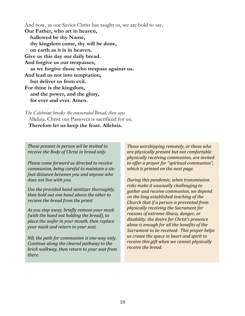And now, as our Savior Christ has taught us, we are bold to say, **Our Father, who art in heaven, hallowed be thy Name, thy kingdom come, thy will be done, on earth as it is in heaven. Give us this day our daily bread. And forgive us our trespasses, as we forgive those who trespass against us. And lead us not into temptation, but deliver us from evil. For thine is the kingdom, and the power, and the glory, for ever and ever. Amen.**

*The Celebrant breaks the consecrated Bread, then says* Alleluia. Christ our Passover is sacrificed for us; **Therefore let us keep the feast. Alleluia.**

Those present in person wil be invited to receive the Body of Christ in bread only.

*Please come forward as directed to receive* communion, being careful to maintain a six*foot distance between you and anyone who* does not live with you.

Use the provided hand sanitizer thoroughly, *then hold out one hand above the other to recieve the bread from the priest* 

As you step away, briefly remove your mask *(with the hand not holding the bread), to* place the wafer in your mouth, then replace *your mask and return to your seat.* 

*NB, the path for communion is one-way only. Continue along the cleared pathway to the brick walkway, then return to your seat from there.*

*Those worshipping remotely, or those who are physically present but not comfortable physically receiving communion, are invited to* offer a prayer for "spiritual communion", *which is printed on the next page.* 

*During this pandemic, when transmission risks* make it *unusually challenging to gather and receive communion, we depend* **on the long established teaching of the** *Church that if a person is prevented from physically receiving the Sacrament for reasons of extreme illness, danger, or* disability, the desire for Christ's presence *alone is enough for all the benefits of the Sacrament to be received. This prayer helps us create the space in heart and spirit to receive this gift when we cannot physically receive the bread.*